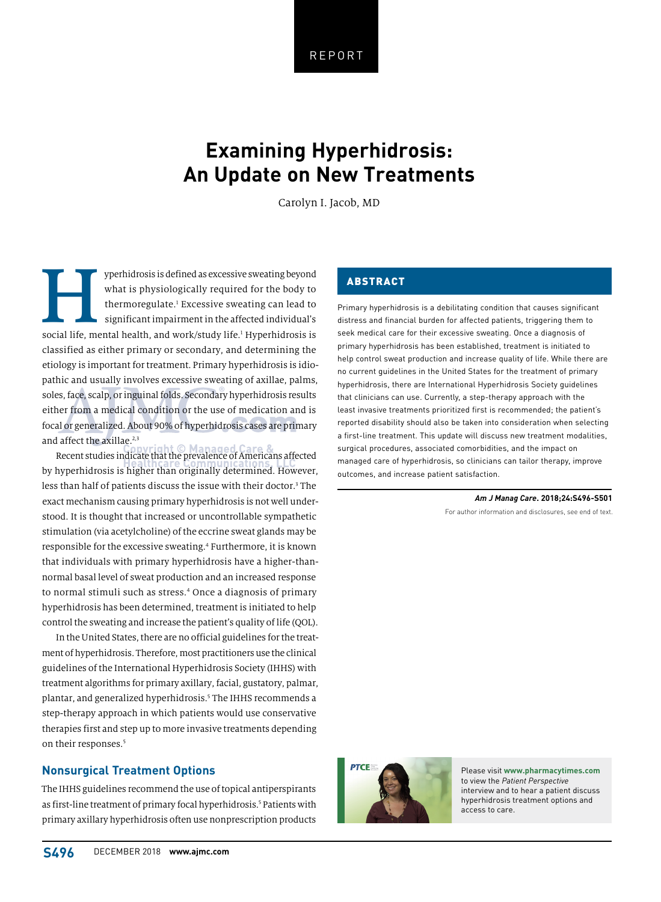REPORT

# **Examining Hyperhidrosis: An Update on New Treatments**

Carolyn I. Jacob, MD

yperhidrosis is defined as excessive sweating beyond<br>
what is physiologically required for the body to<br>
thermoregulate.<sup>1</sup> Excessive sweating can lead to<br>
significant impairment in the affected individual's<br>
social life, m what is physiologically required for the body to thermoregulate.<sup>1</sup> Excessive sweating can lead to significant impairment in the affected individual's classified as either primary or secondary, and determining the etiology is important for treatment. Primary hyperhidrosis is idiopathic and usually involves excessive sweating of axillae, palms, soles, face, scalp, or inguinal folds. Secondary hyperhidrosis results either from a medical condition or the use of medication and is focal or generalized. About 90% of hyperhidrosis cases are primary and affect the axillae.<sup>2,3</sup>

Recent studies indicate that the prevalence of Americans affected by hyperhidrosis is higher than originally determined. However, less than half of patients discuss the issue with their doctor.<sup>3</sup> The exact mechanism causing primary hyperhidrosis is not well understood. It is thought that increased or uncontrollable sympathetic stimulation (via acetylcholine) of the eccrine sweat glands may be responsible for the excessive sweating.<sup>4</sup> Furthermore, it is known that individuals with primary hyperhidrosis have a higher-thannormal basal level of sweat production and an increased response to normal stimuli such as stress.4 Once a diagnosis of primary hyperhidrosis has been determined, treatment is initiated to help control the sweating and increase the patient's quality of life (QOL).

In the United States, there are no official guidelines for the treatment of hyperhidrosis. Therefore, most practitioners use the clinical guidelines of the International Hyperhidrosis Society (IHHS) with treatment algorithms for primary axillary, facial, gustatory, palmar, plantar, and generalized hyperhidrosis.<sup>5</sup> The IHHS recommends a step-therapy approach in which patients would use conservative therapies first and step up to more invasive treatments depending on their responses.<sup>5</sup>

# **Nonsurgical Treatment Options**

The IHHS guidelines recommend the use of topical antiperspirants as first-line treatment of primary focal hyperhidrosis.<sup>5</sup> Patients with primary axillary hyperhidrosis often use nonprescription products

# ABSTRACT

Primary hyperhidrosis is a debilitating condition that causes significant distress and financial burden for affected patients, triggering them to seek medical care for their excessive sweating. Once a diagnosis of primary hyperhidrosis has been established, treatment is initiated to help control sweat production and increase quality of life. While there are no current guidelines in the United States for the treatment of primary hyperhidrosis, there are International Hyperhidrosis Society guidelines that clinicians can use. Currently, a step-therapy approach with the least invasive treatments prioritized first is recommended; the patient's reported disability should also be taken into consideration when selecting a first-line treatment. This update will discuss new treatment modalities, surgical procedures, associated comorbidities, and the impact on managed care of hyperhidrosis, so clinicians can tailor therapy, improve outcomes, and increase patient satisfaction.

*Am J Manag Care***. 2018;24:S496-S501**

For author information and disclosures, see end of text.



Please visit **www.pharmacytimes.com** to view the *Patient Perspective* interview and to hear a patient discuss hyperhidrosis treatment options and access to care.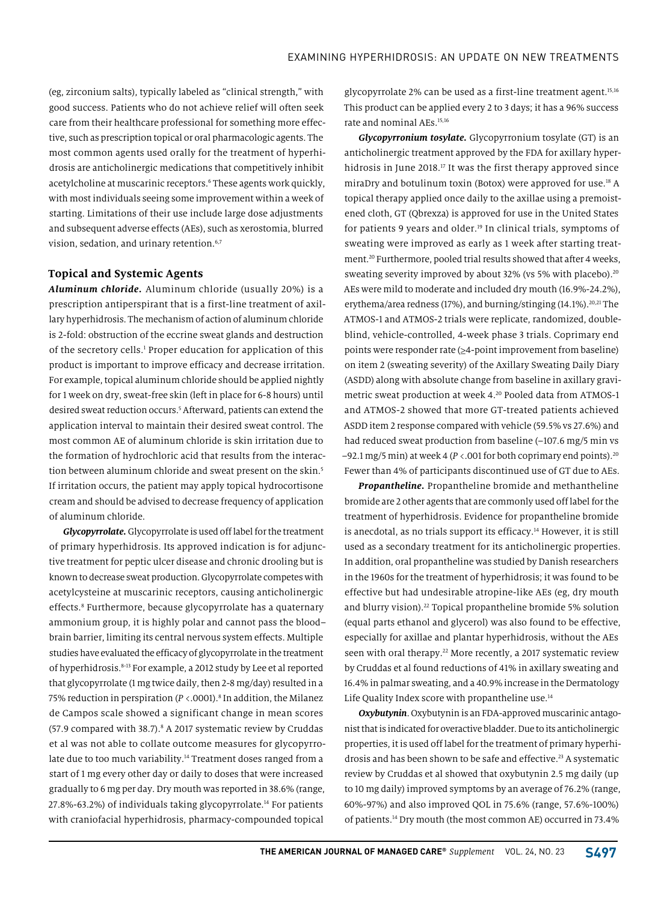(eg, zirconium salts), typically labeled as "clinical strength," with good success. Patients who do not achieve relief will often seek care from their healthcare professional for something more effective, such as prescription topical or oral pharmacologic agents. The most common agents used orally for the treatment of hyperhidrosis are anticholinergic medications that competitively inhibit acetylcholine at muscarinic receptors.<sup>6</sup> These agents work quickly, with most individuals seeing some improvement within a week of starting. Limitations of their use include large dose adjustments and subsequent adverse effects (AEs), such as xerostomia, blurred vision, sedation, and urinary retention.<sup>6,7</sup>

## **Topical and Systemic Agents**

*Aluminum chloride.* Aluminum chloride (usually 20%) is a prescription antiperspirant that is a first-line treatment of axillary hyperhidrosis. The mechanism of action of aluminum chloride is 2-fold: obstruction of the eccrine sweat glands and destruction of the secretory cells.<sup>1</sup> Proper education for application of this product is important to improve efficacy and decrease irritation. For example, topical aluminum chloride should be applied nightly for 1 week on dry, sweat-free skin (left in place for 6-8 hours) until desired sweat reduction occurs.5 Afterward, patients can extend the application interval to maintain their desired sweat control. The most common AE of aluminum chloride is skin irritation due to the formation of hydrochloric acid that results from the interaction between aluminum chloride and sweat present on the skin.<sup>5</sup> If irritation occurs, the patient may apply topical hydrocortisone cream and should be advised to decrease frequency of application of aluminum chloride.

*Glycopyrrolate.* Glycopyrrolate is used off label for the treatment of primary hyperhidrosis. Its approved indication is for adjunctive treatment for peptic ulcer disease and chronic drooling but is known to decrease sweat production. Glycopyrrolate competes with acetylcysteine at muscarinic receptors, causing anticholinergic effects.<sup>8</sup> Furthermore, because glycopyrrolate has a quaternary ammonium group, it is highly polar and cannot pass the blood– brain barrier, limiting its central nervous system effects. Multiple studies have evaluated the efficacy of glycopyrrolate in the treatment of hyperhidrosis.8-13 For example, a 2012 study by Lee et al reported that glycopyrrolate (1 mg twice daily, then 2-8 mg/day) resulted in a 75% reduction in perspiration (*P* <.0001).8 In addition, the Milanez de Campos scale showed a significant change in mean scores (57.9 compared with 38.7).<sup>8</sup> A 2017 systematic review by Cruddas et al was not able to collate outcome measures for glycopyrrolate due to too much variability.<sup>14</sup> Treatment doses ranged from a start of 1 mg every other day or daily to doses that were increased gradually to 6 mg per day. Dry mouth was reported in 38.6% (range, 27.8%-63.2%) of individuals taking glycopyrrolate.<sup>14</sup> For patients with craniofacial hyperhidrosis, pharmacy-compounded topical

glycopyrrolate 2% can be used as a first-line treatment agent.15,16 This product can be applied every 2 to 3 days; it has a 96% success rate and nominal AEs.<sup>15,16</sup>

*Glycopyrronium tosylate.* Glycopyrronium tosylate (GT) is an anticholinergic treatment approved by the FDA for axillary hyperhidrosis in June 2018.<sup>17</sup> It was the first therapy approved since miraDry and botulinum toxin (Botox) were approved for use.<sup>18</sup> A topical therapy applied once daily to the axillae using a premoistened cloth, GT (Qbrexza) is approved for use in the United States for patients 9 years and older.<sup>19</sup> In clinical trials, symptoms of sweating were improved as early as 1 week after starting treatment.20 Furthermore, pooled trial results showed that after 4 weeks, sweating severity improved by about 32% (vs 5% with placebo).<sup>20</sup> AEs were mild to moderate and included dry mouth (16.9%-24.2%), erythema/area redness (17%), and burning/stinging (14.1%).<sup>20,21</sup> The ATMOS-1 and ATMOS-2 trials were replicate, randomized, doubleblind, vehicle-controlled, 4-week phase 3 trials. Coprimary end points were responder rate  $(\geq 4$ -point improvement from baseline) on item 2 (sweating severity) of the Axillary Sweating Daily Diary (ASDD) along with absolute change from baseline in axillary gravimetric sweat production at week 4.20 Pooled data from ATMOS-1 and ATMOS-2 showed that more GT-treated patients achieved ASDD item 2 response compared with vehicle (59.5% vs 27.6%) and had reduced sweat production from baseline (-107.6 mg/5 min vs  $-92.1$  mg/5 min) at week 4 ( $P < 0.001$  for both coprimary end points).<sup>20</sup> Fewer than 4% of participants discontinued use of GT due to AEs.

*Propantheline.* Propantheline bromide and methantheline bromide are 2 other agents that are commonly used off label for the treatment of hyperhidrosis. Evidence for propantheline bromide is anecdotal, as no trials support its efficacy.<sup>14</sup> However, it is still used as a secondary treatment for its anticholinergic properties. In addition, oral propantheline was studied by Danish researchers in the 1960s for the treatment of hyperhidrosis; it was found to be effective but had undesirable atropine-like AEs (eg, dry mouth and blurry vision).<sup>22</sup> Topical propantheline bromide 5% solution (equal parts ethanol and glycerol) was also found to be effective, especially for axillae and plantar hyperhidrosis, without the AEs seen with oral therapy.<sup>22</sup> More recently, a 2017 systematic review by Cruddas et al found reductions of 41% in axillary sweating and 16.4% in palmar sweating, and a 40.9% increase in the Dermatology Life Quality Index score with propantheline use.<sup>14</sup>

*Oxybutynin*. Oxybutynin is an FDA-approved muscarinic antagonist that is indicated for overactive bladder. Due to its anticholinergic properties, it is used off label for the treatment of primary hyperhidrosis and has been shown to be safe and effective.<sup>23</sup> A systematic review by Cruddas et al showed that oxybutynin 2.5 mg daily (up to 10 mg daily) improved symptoms by an average of 76.2% (range, 60%-97%) and also improved QOL in 75.6% (range, 57.6%-100%) of patients.14 Dry mouth (the most common AE) occurred in 73.4%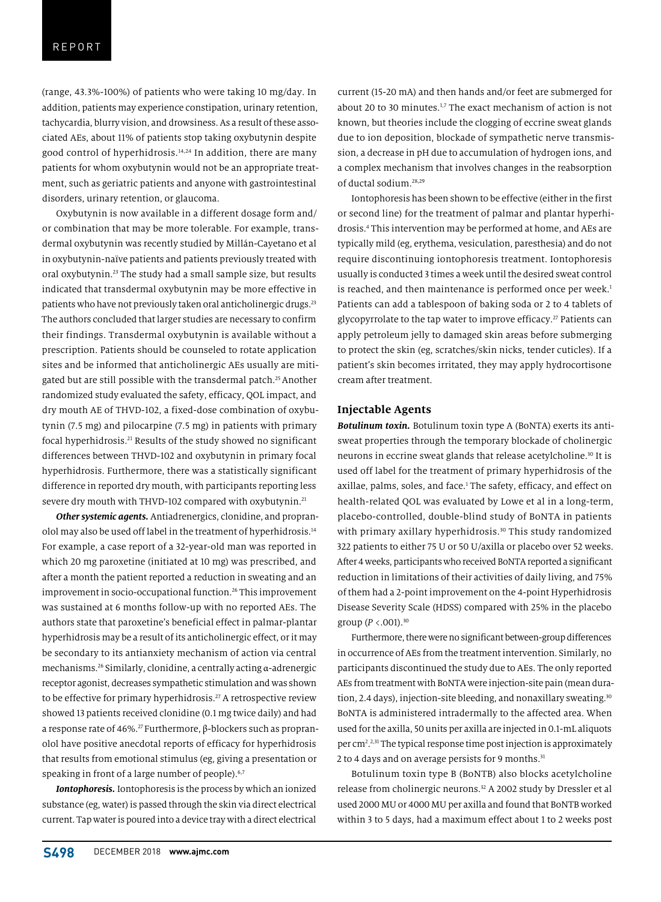(range, 43.3%-100%) of patients who were taking 10 mg/day. In addition, patients may experience constipation, urinary retention, tachycardia, blurry vision, and drowsiness. As a result of these associated AEs, about 11% of patients stop taking oxybutynin despite good control of hyperhidrosis.14,24 In addition, there are many patients for whom oxybutynin would not be an appropriate treatment, such as geriatric patients and anyone with gastrointestinal disorders, urinary retention, or glaucoma.

Oxybutynin is now available in a different dosage form and/ or combination that may be more tolerable. For example, transdermal oxybutynin was recently studied by Millán-Cayetano et al in oxybutynin-naïve patients and patients previously treated with oral oxybutynin.23 The study had a small sample size, but results indicated that transdermal oxybutynin may be more effective in patients who have not previously taken oral anticholinergic drugs.<sup>23</sup> The authors concluded that larger studies are necessary to confirm their findings. Transdermal oxybutynin is available without a prescription. Patients should be counseled to rotate application sites and be informed that anticholinergic AEs usually are mitigated but are still possible with the transdermal patch.<sup>25</sup> Another randomized study evaluated the safety, efficacy, QOL impact, and dry mouth AE of THVD-102, a fixed-dose combination of oxybutynin (7.5 mg) and pilocarpine (7.5 mg) in patients with primary focal hyperhidrosis.<sup>21</sup> Results of the study showed no significant differences between THVD-102 and oxybutynin in primary focal hyperhidrosis. Furthermore, there was a statistically significant difference in reported dry mouth, with participants reporting less severe dry mouth with THVD-102 compared with oxybutynin.<sup>21</sup>

*Other systemic agents.* Antiadrenergics, clonidine, and propranolol may also be used off label in the treatment of hyperhidrosis.<sup>14</sup> For example, a case report of a 32-year-old man was reported in which 20 mg paroxetine (initiated at 10 mg) was prescribed, and after a month the patient reported a reduction in sweating and an improvement in socio-occupational function.<sup>26</sup> This improvement was sustained at 6 months follow-up with no reported AEs. The authors state that paroxetine's beneficial effect in palmar-plantar hyperhidrosis may be a result of its anticholinergic effect, or it may be secondary to its antianxiety mechanism of action via central mechanisms.26 Similarly, clonidine, a centrally acting α-adrenergic receptor agonist, decreases sympathetic stimulation and was shown to be effective for primary hyperhidrosis.<sup>27</sup> A retrospective review showed 13 patients received clonidine (0.1 mg twice daily) and had a response rate of 46%.<sup>27</sup> Furthermore, β-blockers such as propranolol have positive anecdotal reports of efficacy for hyperhidrosis that results from emotional stimulus (eg, giving a presentation or speaking in front of a large number of people). $6,7$ 

*Iontophoresis.* Iontophoresis is the process by which an ionized substance (eg, water) is passed through the skin via direct electrical current. Tap water is poured into a device tray with a direct electrical

current (15-20 mA) and then hands and/or feet are submerged for about 20 to 30 minutes.<sup>1,7</sup> The exact mechanism of action is not known, but theories include the clogging of eccrine sweat glands due to ion deposition, blockade of sympathetic nerve transmission, a decrease in pH due to accumulation of hydrogen ions, and a complex mechanism that involves changes in the reabsorption of ductal sodium.28,29

Iontophoresis has been shown to be effective (either in the first or second line) for the treatment of palmar and plantar hyperhidrosis.4 This intervention may be performed at home, and AEs are typically mild (eg, erythema, vesiculation, paresthesia) and do not require discontinuing iontophoresis treatment. Iontophoresis usually is conducted 3 times a week until the desired sweat control is reached, and then maintenance is performed once per week.<sup>1</sup> Patients can add a tablespoon of baking soda or 2 to 4 tablets of glycopyrrolate to the tap water to improve efficacy.<sup>27</sup> Patients can apply petroleum jelly to damaged skin areas before submerging to protect the skin (eg, scratches/skin nicks, tender cuticles). If a patient's skin becomes irritated, they may apply hydrocortisone cream after treatment.

## **Injectable Agents**

*Botulinum toxin.* Botulinum toxin type A (BoNTA) exerts its antisweat properties through the temporary blockade of cholinergic neurons in eccrine sweat glands that release acetylcholine.<sup>30</sup> It is used off label for the treatment of primary hyperhidrosis of the axillae, palms, soles, and face.<sup>1</sup> The safety, efficacy, and effect on health-related QOL was evaluated by Lowe et al in a long-term, placebo-controlled, double-blind study of BoNTA in patients with primary axillary hyperhidrosis.<sup>30</sup> This study randomized 322 patients to either 75 U or 50 U/axilla or placebo over 52 weeks. After 4 weeks, participants who received BoNTA reported a significant reduction in limitations of their activities of daily living, and 75% of them had a 2-point improvement on the 4-point Hyperhidrosis Disease Severity Scale (HDSS) compared with 25% in the placebo group ( $P < .001$ ).<sup>30</sup>

Furthermore, there were no significant between-group differences in occurrence of AEs from the treatment intervention. Similarly, no participants discontinued the study due to AEs. The only reported AEs from treatment with BoNTA were injection-site pain (mean duration, 2.4 days), injection-site bleeding, and nonaxillary sweating.<sup>30</sup> BoNTA is administered intradermally to the affected area. When used for the axilla, 50 units per axilla are injected in 0.1-mL aliquots per cm2 . 2,31 The typical response time post injection is approximately 2 to 4 days and on average persists for 9 months.<sup>31</sup>

Botulinum toxin type B (BoNTB) also blocks acetylcholine release from cholinergic neurons.<sup>32</sup> A 2002 study by Dressler et al used 2000 MU or 4000 MU per axilla and found that BoNTB worked within 3 to 5 days, had a maximum effect about 1 to 2 weeks post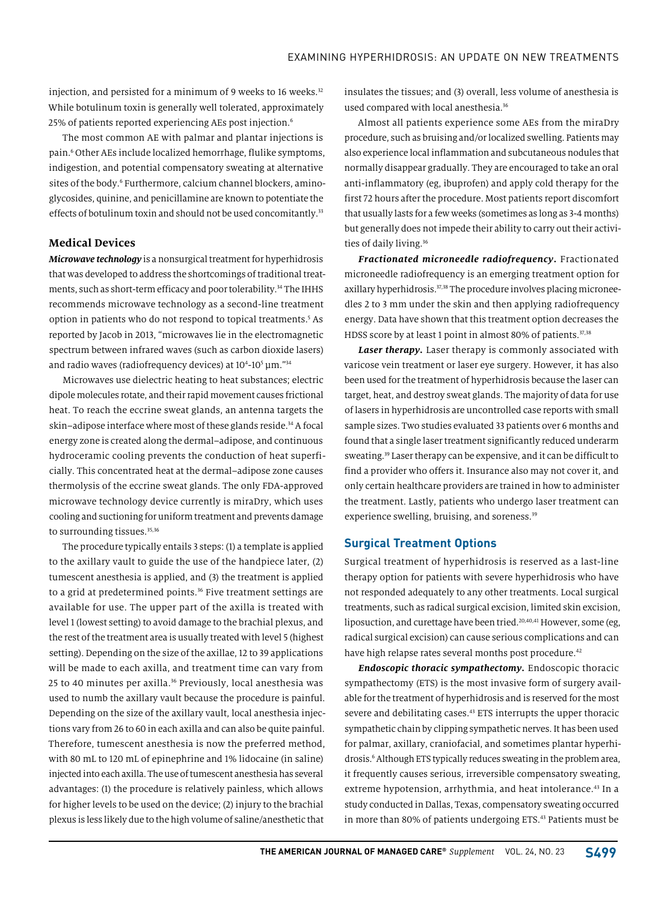injection, and persisted for a minimum of 9 weeks to 16 weeks. $32$ While botulinum toxin is generally well tolerated, approximately 25% of patients reported experiencing AEs post injection.6

The most common AE with palmar and plantar injections is pain.6 Other AEs include localized hemorrhage, flulike symptoms, indigestion, and potential compensatory sweating at alternative sites of the body.<sup>6</sup> Furthermore, calcium channel blockers, aminoglycosides, quinine, and penicillamine are known to potentiate the effects of botulinum toxin and should not be used concomitantly.<sup>33</sup>

## **Medical Devices**

*Microwave technology* is a nonsurgical treatment for hyperhidrosis that was developed to address the shortcomings of traditional treatments, such as short-term efficacy and poor tolerability.<sup>34</sup> The IHHS recommends microwave technology as a second-line treatment option in patients who do not respond to topical treatments.<sup>5</sup> As reported by Jacob in 2013, "microwaves lie in the electromagnetic spectrum between infrared waves (such as carbon dioxide lasers) and radio waves (radiofrequency devices) at  $10^4$ - $10^5$   $\mu$ m." $^{34}$ 

Microwaves use dielectric heating to heat substances; electric dipole molecules rotate, and their rapid movement causes frictional heat. To reach the eccrine sweat glands, an antenna targets the skin–adipose interface where most of these glands reside.<sup>34</sup> A focal energy zone is created along the dermal–adipose, and continuous hydroceramic cooling prevents the conduction of heat superficially. This concentrated heat at the dermal–adipose zone causes thermolysis of the eccrine sweat glands. The only FDA-approved microwave technology device currently is miraDry, which uses cooling and suctioning for uniform treatment and prevents damage to surrounding tissues.<sup>35,36</sup>

The procedure typically entails 3 steps: (1) a template is applied to the axillary vault to guide the use of the handpiece later, (2) tumescent anesthesia is applied, and (3) the treatment is applied to a grid at predetermined points.<sup>36</sup> Five treatment settings are available for use. The upper part of the axilla is treated with level 1 (lowest setting) to avoid damage to the brachial plexus, and the rest of the treatment area is usually treated with level 5 (highest setting). Depending on the size of the axillae, 12 to 39 applications will be made to each axilla, and treatment time can vary from 25 to 40 minutes per axilla.<sup>36</sup> Previously, local anesthesia was used to numb the axillary vault because the procedure is painful. Depending on the size of the axillary vault, local anesthesia injections vary from 26 to 60 in each axilla and can also be quite painful. Therefore, tumescent anesthesia is now the preferred method, with 80 mL to 120 mL of epinephrine and 1% lidocaine (in saline) injected into each axilla. The use of tumescent anesthesia has several advantages: (1) the procedure is relatively painless, which allows for higher levels to be used on the device; (2) injury to the brachial plexus is less likely due to the high volume of saline/anesthetic that

insulates the tissues; and (3) overall, less volume of anesthesia is used compared with local anesthesia.<sup>36</sup>

Almost all patients experience some AEs from the miraDry procedure, such as bruising and/or localized swelling. Patients may also experience local inflammation and subcutaneous nodules that normally disappear gradually. They are encouraged to take an oral anti-inflammatory (eg, ibuprofen) and apply cold therapy for the first 72 hours after the procedure. Most patients report discomfort that usually lasts for a few weeks (sometimes as long as 3-4 months) but generally does not impede their ability to carry out their activities of daily living.<sup>36</sup>

*Fractionated microneedle radiofrequency***.** Fractionated microneedle radiofrequency is an emerging treatment option for axillary hyperhidrosis.<sup>37,38</sup> The procedure involves placing microneedles 2 to 3 mm under the skin and then applying radiofrequency energy. Data have shown that this treatment option decreases the HDSS score by at least 1 point in almost 80% of patients.<sup>37,38</sup>

*Laser therapy.* Laser therapy is commonly associated with varicose vein treatment or laser eye surgery. However, it has also been used for the treatment of hyperhidrosis because the laser can target, heat, and destroy sweat glands. The majority of data for use of lasers in hyperhidrosis are uncontrolled case reports with small sample sizes. Two studies evaluated 33 patients over 6 months and found that a single laser treatment significantly reduced underarm sweating.<sup>39</sup> Laser therapy can be expensive, and it can be difficult to find a provider who offers it. Insurance also may not cover it, and only certain healthcare providers are trained in how to administer the treatment. Lastly, patients who undergo laser treatment can experience swelling, bruising, and soreness.<sup>39</sup>

#### **Surgical Treatment Options**

Surgical treatment of hyperhidrosis is reserved as a last-line therapy option for patients with severe hyperhidrosis who have not responded adequately to any other treatments. Local surgical treatments, such as radical surgical excision, limited skin excision, liposuction, and curettage have been tried.<sup>20,40,41</sup> However, some (eg, radical surgical excision) can cause serious complications and can have high relapse rates several months post procedure.<sup>42</sup>

*Endoscopic thoracic sympathectomy.* Endoscopic thoracic sympathectomy (ETS) is the most invasive form of surgery available for the treatment of hyperhidrosis and is reserved for the most severe and debilitating cases.<sup>43</sup> ETS interrupts the upper thoracic sympathetic chain by clipping sympathetic nerves. It has been used for palmar, axillary, craniofacial, and sometimes plantar hyperhidrosis.6 Although ETS typically reduces sweating in the problem area, it frequently causes serious, irreversible compensatory sweating, extreme hypotension, arrhythmia, and heat intolerance.<sup>43</sup> In a study conducted in Dallas, Texas, compensatory sweating occurred in more than 80% of patients undergoing ETS.<sup>43</sup> Patients must be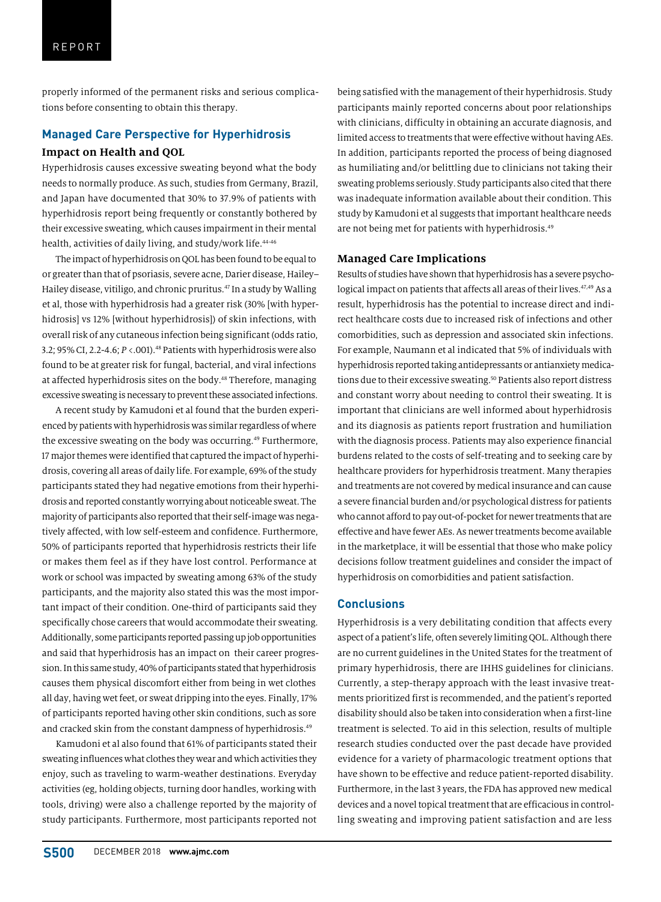properly informed of the permanent risks and serious complications before consenting to obtain this therapy.

# **Managed Care Perspective for Hyperhidrosis Impact on Health and QOL**

Hyperhidrosis causes excessive sweating beyond what the body needs to normally produce. As such, studies from Germany, Brazil, and Japan have documented that 30% to 37.9% of patients with hyperhidrosis report being frequently or constantly bothered by their excessive sweating, which causes impairment in their mental health, activities of daily living, and study/work life.<sup>44-46</sup>

The impact of hyperhidrosis on QOL has been found to be equal to or greater than that of psoriasis, severe acne, Darier disease, Hailey– Hailey disease, vitiligo, and chronic pruritus.<sup>47</sup> In a study by Walling et al, those with hyperhidrosis had a greater risk (30% [with hyperhidrosis] vs 12% [without hyperhidrosis]) of skin infections, with overall risk of any cutaneous infection being significant (odds ratio, 3.2; 95% CI, 2.2-4.6; *P* <.001).48 Patients with hyperhidrosis were also found to be at greater risk for fungal, bacterial, and viral infections at affected hyperhidrosis sites on the body.<sup>48</sup> Therefore, managing excessive sweating is necessary to prevent these associated infections.

A recent study by Kamudoni et al found that the burden experienced by patients with hyperhidrosis was similar regardless of where the excessive sweating on the body was occurring.<sup>49</sup> Furthermore, 17 major themes were identified that captured the impact of hyperhidrosis, covering all areas of daily life. For example, 69% of the study participants stated they had negative emotions from their hyperhidrosis and reported constantly worrying about noticeable sweat. The majority of participants also reported that their self-image was negatively affected, with low self-esteem and confidence. Furthermore, 50% of participants reported that hyperhidrosis restricts their life or makes them feel as if they have lost control. Performance at work or school was impacted by sweating among 63% of the study participants, and the majority also stated this was the most important impact of their condition. One-third of participants said they specifically chose careers that would accommodate their sweating. Additionally, some participants reported passing up job opportunities and said that hyperhidrosis has an impact on their career progression. In this same study, 40% of participants stated that hyperhidrosis causes them physical discomfort either from being in wet clothes all day, having wet feet, or sweat dripping into the eyes. Finally, 17% of participants reported having other skin conditions, such as sore and cracked skin from the constant dampness of hyperhidrosis.<sup>49</sup>

Kamudoni et al also found that 61% of participants stated their sweating influences what clothes they wear and which activities they enjoy, such as traveling to warm-weather destinations. Everyday activities (eg, holding objects, turning door handles, working with tools, driving) were also a challenge reported by the majority of study participants. Furthermore, most participants reported not

being satisfied with the management of their hyperhidrosis. Study participants mainly reported concerns about poor relationships with clinicians, difficulty in obtaining an accurate diagnosis, and limited access to treatments that were effective without having AEs. In addition, participants reported the process of being diagnosed as humiliating and/or belittling due to clinicians not taking their sweating problems seriously. Study participants also cited that there was inadequate information available about their condition. This study by Kamudoni et al suggests that important healthcare needs are not being met for patients with hyperhidrosis.49

## **Managed Care Implications**

Results of studies have shown that hyperhidrosis has a severe psychological impact on patients that affects all areas of their lives.<sup>47,49</sup> As a result, hyperhidrosis has the potential to increase direct and indirect healthcare costs due to increased risk of infections and other comorbidities, such as depression and associated skin infections. For example, Naumann et al indicated that 5% of individuals with hyperhidrosis reported taking antidepressants or antianxiety medications due to their excessive sweating.<sup>50</sup> Patients also report distress and constant worry about needing to control their sweating. It is important that clinicians are well informed about hyperhidrosis and its diagnosis as patients report frustration and humiliation with the diagnosis process. Patients may also experience financial burdens related to the costs of self-treating and to seeking care by healthcare providers for hyperhidrosis treatment. Many therapies and treatments are not covered by medical insurance and can cause a severe financial burden and/or psychological distress for patients who cannot afford to pay out-of-pocket for newer treatments that are effective and have fewer AEs. As newer treatments become available in the marketplace, it will be essential that those who make policy decisions follow treatment guidelines and consider the impact of hyperhidrosis on comorbidities and patient satisfaction.

# **Conclusions**

Hyperhidrosis is a very debilitating condition that affects every aspect of a patient's life, often severely limiting QOL. Although there are no current guidelines in the United States for the treatment of primary hyperhidrosis, there are IHHS guidelines for clinicians. Currently, a step-therapy approach with the least invasive treatments prioritized first is recommended, and the patient's reported disability should also be taken into consideration when a first-line treatment is selected. To aid in this selection, results of multiple research studies conducted over the past decade have provided evidence for a variety of pharmacologic treatment options that have shown to be effective and reduce patient-reported disability. Furthermore, in the last 3 years, the FDA has approved new medical devices and a novel topical treatment that are efficacious in controlling sweating and improving patient satisfaction and are less